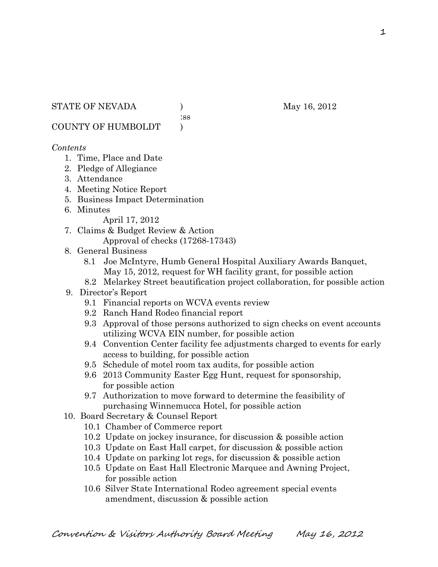:ss

COUNTY OF HUMBOLDT )

### *Contents*

- 1. Time, Place and Date
- 2. Pledge of Allegiance
- 3. Attendance
- 4. Meeting Notice Report
- 5. Business Impact Determination
- 6. Minutes

April 17, 2012

- 7. Claims & Budget Review & Action Approval of checks (17268-17343)
- 8. General Business
	- 8.1 Joe McIntyre, Humb General Hospital Auxiliary Awards Banquet, May 15, 2012, request for WH facility grant, for possible action
	- 8.2 Melarkey Street beautification project collaboration, for possible action
- 9. Director's Report
	- 9.1 Financial reports on WCVA events review
	- 9.2 Ranch Hand Rodeo financial report
	- 9.3 Approval of those persons authorized to sign checks on event accounts utilizing WCVA EIN number, for possible action
	- 9.4 Convention Center facility fee adjustments charged to events for early access to building, for possible action
	- 9.5 Schedule of motel room tax audits, for possible action
	- 9.6 2013 Community Easter Egg Hunt, request for sponsorship, for possible action
	- 9.7 Authorization to move forward to determine the feasibility of purchasing Winnemucca Hotel, for possible action
- 10. Board Secretary & Counsel Report
	- 10.1 Chamber of Commerce report
	- 10.2 Update on jockey insurance, for discussion & possible action
	- 10.3 Update on East Hall carpet, for discussion & possible action
	- 10.4 Update on parking lot regs, for discussion & possible action
	- 10.5 Update on East Hall Electronic Marquee and Awning Project, for possible action
	- 10.6 Silver State International Rodeo agreement special events amendment, discussion & possible action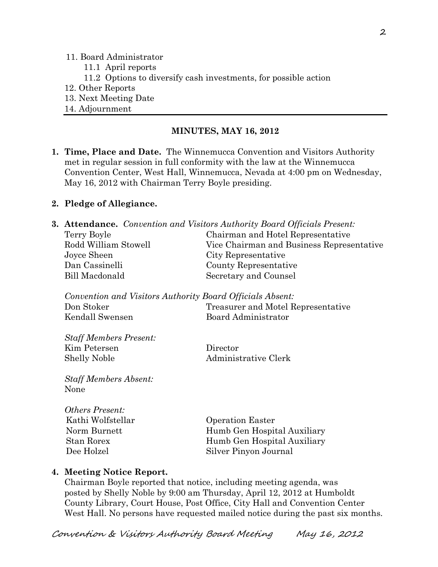#### 11. Board Administrator

- 11.1 April reports
- 11.2 Options to diversify cash investments, for possible action
- 12. Other Reports
- 13. Next Meeting Date
- 14. Adjournment

## **MINUTES, MAY 16, 2012**

**1. Time, Place and Date.** The Winnemucca Convention and Visitors Authority met in regular session in full conformity with the law at the Winnemucca Convention Center, West Hall, Winnemucca, Nevada at 4:00 pm on Wednesday, May 16, 2012 with Chairman Terry Boyle presiding.

### **2. Pledge of Allegiance.**

|                                                           | Terry Boyle                                             | <b>3. Attendance.</b> Convention and Visitors Authority Board Officials Present:<br>Chairman and Hotel Representative |
|-----------------------------------------------------------|---------------------------------------------------------|-----------------------------------------------------------------------------------------------------------------------|
|                                                           | Rodd William Stowell                                    |                                                                                                                       |
|                                                           |                                                         | Vice Chairman and Business Representative                                                                             |
|                                                           | Joyce Sheen                                             | City Representative                                                                                                   |
|                                                           | Dan Cassinelli                                          | County Representative                                                                                                 |
|                                                           | <b>Bill Macdonald</b>                                   | Secretary and Counsel                                                                                                 |
|                                                           |                                                         |                                                                                                                       |
| Convention and Visitors Authority Board Officials Absent: |                                                         |                                                                                                                       |
|                                                           | Don Stoker                                              | Treasurer and Motel Representative                                                                                    |
|                                                           | Kendall Swensen                                         | Board Administrator                                                                                                   |
|                                                           |                                                         |                                                                                                                       |
|                                                           | <b>Staff Members Present:</b>                           |                                                                                                                       |
|                                                           | Kim Petersen                                            | Director                                                                                                              |
|                                                           | <b>Shelly Noble</b>                                     | Administrative Clerk                                                                                                  |
|                                                           |                                                         |                                                                                                                       |
|                                                           | <b>Staff Members Absent:</b>                            |                                                                                                                       |
|                                                           | None                                                    |                                                                                                                       |
|                                                           |                                                         |                                                                                                                       |
|                                                           | Others Present:                                         |                                                                                                                       |
|                                                           | Kathi Wolfstellar                                       | <b>Operation Easter</b>                                                                                               |
|                                                           | $N_{\text{cosmo}}$ $D_{\text{cosmo}}$ $\leftrightarrow$ | $U_{\text{turb}}$ $C_{\text{cm}}$ $U_{\text{coul}}$ $\Lambda$ $\text{turb}$                                           |

|              | _________________           |
|--------------|-----------------------------|
| Norm Burnett | Humb Gen Hospital Auxiliary |
| Stan Rorex   | Humb Gen Hospital Auxiliary |
| Dee Holzel   | Silver Pinyon Journal       |
|              |                             |

### **4. Meeting Notice Report.**

Chairman Boyle reported that notice, including meeting agenda, was posted by Shelly Noble by 9:00 am Thursday, April 12, 2012 at Humboldt County Library, Court House, Post Office, City Hall and Convention Center West Hall. No persons have requested mailed notice during the past six months.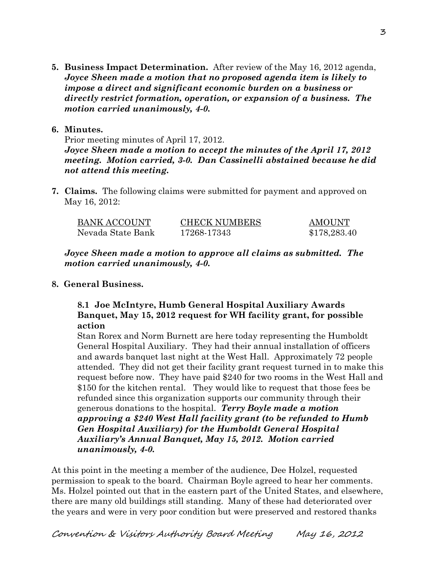**5. Business Impact Determination.** After review of the May 16, 2012 agenda, *Joyce Sheen made a motion that no proposed agenda item is likely to impose a direct and significant economic burden on a business or directly restrict formation, operation, or expansion of a business. The motion carried unanimously, 4-0.*

## **6. Minutes.**

Prior meeting minutes of April 17, 2012. *Joyce Sheen made a motion to accept the minutes of the April 17, 2012 meeting. Motion carried, 3-0. Dan Cassinelli abstained because he did not attend this meeting.* 

**7. Claims.** The following claims were submitted for payment and approved on May 16, 2012:

| BANK ACCOUNT      | <b>CHECK NUMBERS</b> | <b>AMOUNT</b> |
|-------------------|----------------------|---------------|
| Nevada State Bank | 17268-17343          | \$178,283.40  |

*Joyce Sheen made a motion to approve all claims as submitted. The motion carried unanimously, 4-0.*

# **8. General Business.**

# **8.1 Joe McIntyre, Humb General Hospital Auxiliary Awards Banquet, May 15, 2012 request for WH facility grant, for possible action**

Stan Rorex and Norm Burnett are here today representing the Humboldt General Hospital Auxiliary. They had their annual installation of officers and awards banquet last night at the West Hall. Approximately 72 people attended. They did not get their facility grant request turned in to make this request before now. They have paid \$240 for two rooms in the West Hall and \$150 for the kitchen rental. They would like to request that those fees be refunded since this organization supports our community through their generous donations to the hospital. *Terry Boyle made a motion approving a \$240 West Hall facility grant (to be refunded to Humb Gen Hospital Auxiliary) for the Humboldt General Hospital Auxiliary's Annual Banquet, May 15, 2012. Motion carried unanimously, 4-0.*

At this point in the meeting a member of the audience, Dee Holzel, requested permission to speak to the board. Chairman Boyle agreed to hear her comments. Ms. Holzel pointed out that in the eastern part of the United States, and elsewhere, there are many old buildings still standing. Many of these had deteriorated over the years and were in very poor condition but were preserved and restored thanks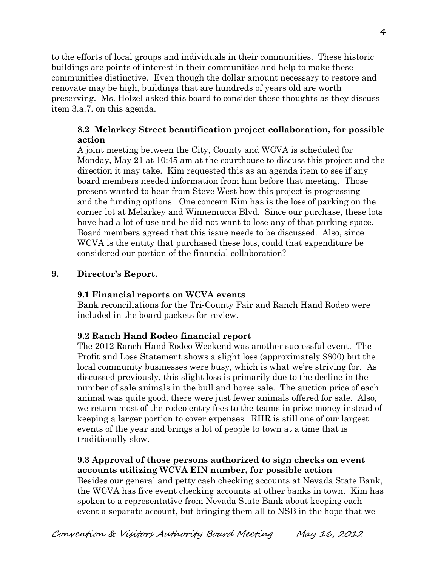to the efforts of local groups and individuals in their communities. These historic buildings are points of interest in their communities and help to make these communities distinctive. Even though the dollar amount necessary to restore and renovate may be high, buildings that are hundreds of years old are worth preserving. Ms. Holzel asked this board to consider these thoughts as they discuss item 3.a.7. on this agenda.

# **8.2 Melarkey Street beautification project collaboration, for possible action**

A joint meeting between the City, County and WCVA is scheduled for Monday, May 21 at 10:45 am at the courthouse to discuss this project and the direction it may take. Kim requested this as an agenda item to see if any board members needed information from him before that meeting. Those present wanted to hear from Steve West how this project is progressing and the funding options. One concern Kim has is the loss of parking on the corner lot at Melarkey and Winnemucca Blvd. Since our purchase, these lots have had a lot of use and he did not want to lose any of that parking space. Board members agreed that this issue needs to be discussed. Also, since WCVA is the entity that purchased these lots, could that expenditure be considered our portion of the financial collaboration?

# **9. Director's Report.**

### **9.1 Financial reports on WCVA events**

Bank reconciliations for the Tri-County Fair and Ranch Hand Rodeo were included in the board packets for review.

### **9.2 Ranch Hand Rodeo financial report**

The 2012 Ranch Hand Rodeo Weekend was another successful event. The Profit and Loss Statement shows a slight loss (approximately \$800) but the local community businesses were busy, which is what we're striving for. As discussed previously, this slight loss is primarily due to the decline in the number of sale animals in the bull and horse sale. The auction price of each animal was quite good, there were just fewer animals offered for sale. Also, we return most of the rodeo entry fees to the teams in prize money instead of keeping a larger portion to cover expenses. RHR is still one of our largest events of the year and brings a lot of people to town at a time that is traditionally slow.

# **9.3 Approval of those persons authorized to sign checks on event accounts utilizing WCVA EIN number, for possible action**

Besides our general and petty cash checking accounts at Nevada State Bank, the WCVA has five event checking accounts at other banks in town. Kim has spoken to a representative from Nevada State Bank about keeping each event a separate account, but bringing them all to NSB in the hope that we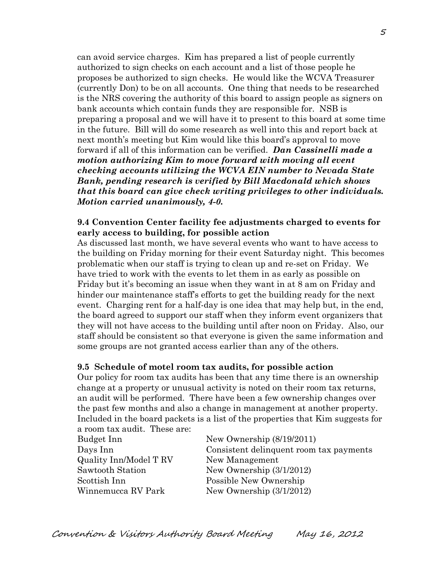can avoid service charges. Kim has prepared a list of people currently authorized to sign checks on each account and a list of those people he proposes be authorized to sign checks. He would like the WCVA Treasurer (currently Don) to be on all accounts. One thing that needs to be researched is the NRS covering the authority of this board to assign people as signers on bank accounts which contain funds they are responsible for. NSB is preparing a proposal and we will have it to present to this board at some time in the future. Bill will do some research as well into this and report back at next month's meeting but Kim would like this board's approval to move forward if all of this information can be verified. *Dan Cassinelli made a motion authorizing Kim to move forward with moving all event checking accounts utilizing the WCVA EIN number to Nevada State Bank, pending research is verified by Bill Macdonald which shows that this board can give check writing privileges to other individuals. Motion carried unanimously, 4-0.* 

### **9.4 Convention Center facility fee adjustments charged to events for early access to building, for possible action**

As discussed last month, we have several events who want to have access to the building on Friday morning for their event Saturday night. This becomes problematic when our staff is trying to clean up and re-set on Friday. We have tried to work with the events to let them in as early as possible on Friday but it's becoming an issue when they want in at 8 am on Friday and hinder our maintenance staff's efforts to get the building ready for the next event. Charging rent for a half-day is one idea that may help but, in the end, the board agreed to support our staff when they inform event organizers that they will not have access to the building until after noon on Friday. Also, our staff should be consistent so that everyone is given the same information and some groups are not granted access earlier than any of the others.

#### **9.5 Schedule of motel room tax audits, for possible action**

Our policy for room tax audits has been that any time there is an ownership change at a property or unusual activity is noted on their room tax returns, an audit will be performed. There have been a few ownership changes over the past few months and also a change in management at another property. Included in the board packets is a list of the properties that Kim suggests for a room tax audit. These are:

| Budget Inn             | New Ownership $(8/19/2011)$             |
|------------------------|-----------------------------------------|
| Days Inn               | Consistent delinquent room tax payments |
| Quality Inn/Model T RV | New Management                          |
| Sawtooth Station       | New Ownership $(3/1/2012)$              |
| Scottish Inn           | Possible New Ownership                  |
| Winnemucca RV Park     | New Ownership $(3/1/2012)$              |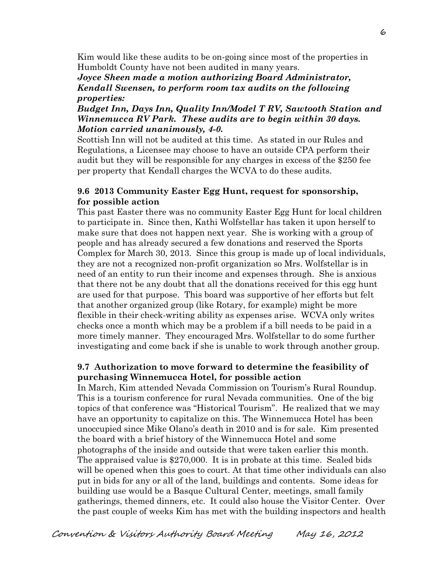Kim would like these audits to be on-going since most of the properties in Humboldt County have not been audited in many years.

### *Joyce Sheen made a motion authorizing Board Administrator, Kendall Swensen, to perform room tax audits on the following properties:*

*Budget Inn, Days Inn, Quality Inn/Model T RV, Sawtooth Station and Winnemucca RV Park. These audits are to begin within 30 days. Motion carried unanimously, 4-0.* 

Scottish Inn will not be audited at this time. As stated in our Rules and Regulations, a Licensee may choose to have an outside CPA perform their audit but they will be responsible for any charges in excess of the \$250 fee per property that Kendall charges the WCVA to do these audits.

### **9.6 2013 Community Easter Egg Hunt, request for sponsorship, for possible action**

This past Easter there was no community Easter Egg Hunt for local children to participate in. Since then, Kathi Wolfstellar has taken it upon herself to make sure that does not happen next year. She is working with a group of people and has already secured a few donations and reserved the Sports Complex for March 30, 2013. Since this group is made up of local individuals, they are not a recognized non-profit organization so Mrs. Wolfstellar is in need of an entity to run their income and expenses through. She is anxious that there not be any doubt that all the donations received for this egg hunt are used for that purpose. This board was supportive of her efforts but felt that another organized group (like Rotary, for example) might be more flexible in their check-writing ability as expenses arise. WCVA only writes checks once a month which may be a problem if a bill needs to be paid in a more timely manner. They encouraged Mrs. Wolfstellar to do some further investigating and come back if she is unable to work through another group.

### **9.7 Authorization to move forward to determine the feasibility of purchasing Winnemucca Hotel, for possible action**

In March, Kim attended Nevada Commission on Tourism's Rural Roundup. This is a tourism conference for rural Nevada communities. One of the big topics of that conference was "Historical Tourism". He realized that we may have an opportunity to capitalize on this. The Winnemucca Hotel has been unoccupied since Mike Olano's death in 2010 and is for sale. Kim presented the board with a brief history of the Winnemucca Hotel and some photographs of the inside and outside that were taken earlier this month. The appraised value is \$270,000. It is in probate at this time. Sealed bids will be opened when this goes to court. At that time other individuals can also put in bids for any or all of the land, buildings and contents. Some ideas for building use would be a Basque Cultural Center, meetings, small family gatherings, themed dinners, etc. It could also house the Visitor Center. Over the past couple of weeks Kim has met with the building inspectors and health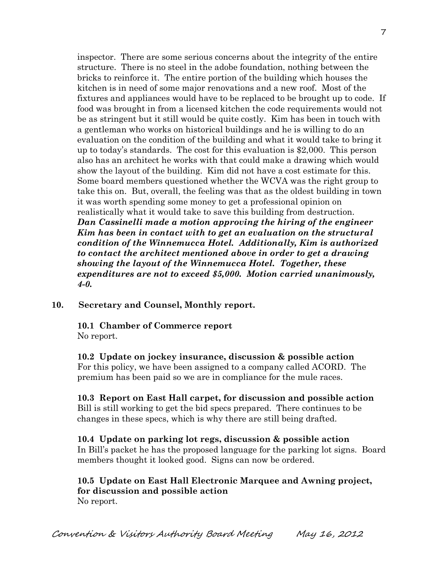inspector. There are some serious concerns about the integrity of the entire structure. There is no steel in the adobe foundation, nothing between the bricks to reinforce it. The entire portion of the building which houses the kitchen is in need of some major renovations and a new roof. Most of the fixtures and appliances would have to be replaced to be brought up to code. If food was brought in from a licensed kitchen the code requirements would not be as stringent but it still would be quite costly. Kim has been in touch with a gentleman who works on historical buildings and he is willing to do an evaluation on the condition of the building and what it would take to bring it up to today's standards. The cost for this evaluation is \$2,000. This person also has an architect he works with that could make a drawing which would show the layout of the building. Kim did not have a cost estimate for this. Some board members questioned whether the WCVA was the right group to take this on. But, overall, the feeling was that as the oldest building in town it was worth spending some money to get a professional opinion on realistically what it would take to save this building from destruction. *Dan Cassinelli made a motion approving the hiring of the engineer Kim has been in contact with to get an evaluation on the structural condition of the Winnemucca Hotel. Additionally, Kim is authorized to contact the architect mentioned above in order to get a drawing showing the layout of the Winnemucca Hotel. Together, these expenditures are not to exceed \$5,000. Motion carried unanimously, 4-0.*

### **10. Secretary and Counsel, Monthly report.**

#### **10.1 Chamber of Commerce report** No report.

**10.2 Update on jockey insurance, discussion & possible action** For this policy, we have been assigned to a company called ACORD. The premium has been paid so we are in compliance for the mule races.

## **10.3 Report on East Hall carpet, for discussion and possible action** Bill is still working to get the bid specs prepared. There continues to be changes in these specs, which is why there are still being drafted.

# **10.4 Update on parking lot regs, discussion & possible action** In Bill's packet he has the proposed language for the parking lot signs. Board members thought it looked good. Signs can now be ordered.

### **10.5 Update on East Hall Electronic Marquee and Awning project, for discussion and possible action** No report.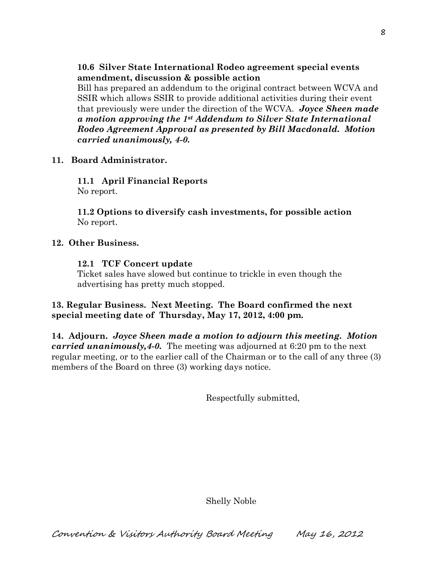**10.6 Silver State International Rodeo agreement special events amendment, discussion & possible action**

Bill has prepared an addendum to the original contract between WCVA and SSIR which allows SSIR to provide additional activities during their event that previously were under the direction of the WCVA. *Joyce Sheen made a motion approving the 1st Addendum to Silver State International Rodeo Agreement Approval as presented by Bill Macdonald. Motion carried unanimously, 4-0.*

### **11. Board Administrator.**

**11.1 April Financial Reports** No report.

**11.2 Options to diversify cash investments, for possible action** No report.

#### **12. Other Business.**

#### **12.1 TCF Concert update**

Ticket sales have slowed but continue to trickle in even though the advertising has pretty much stopped.

### **13. Regular Business. Next Meeting. The Board confirmed the next special meeting date of Thursday, May 17, 2012, 4:00 pm.**

**14. Adjourn.** *Joyce Sheen made a motion to adjourn this meeting. Motion carried unanimously,4-0.* The meeting was adjourned at 6:20 pm to the next regular meeting, or to the earlier call of the Chairman or to the call of any three (3) members of the Board on three (3) working days notice.

Respectfully submitted,

Shelly Noble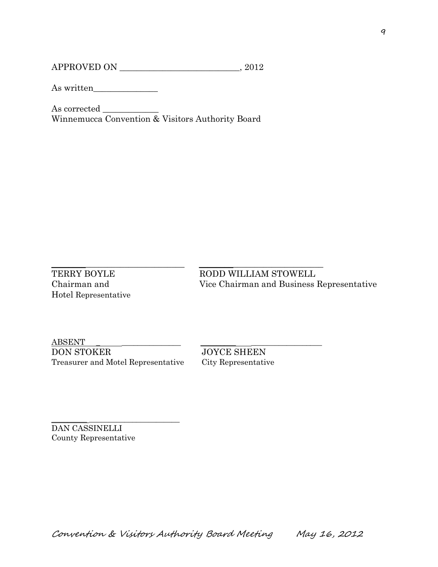APPROVED ON \_\_\_\_\_\_\_\_\_\_\_\_\_\_\_\_\_\_\_\_\_\_\_\_\_\_\_\_, 2012

As written\_\_\_\_\_\_\_\_\_\_\_\_\_\_\_

As corrected \_\_\_\_\_\_\_\_\_\_\_\_\_ Winnemucca Convention & Visitors Authority Board

 $\_$  ,  $\_$  ,  $\_$  ,  $\_$  ,  $\_$  ,  $\_$  ,  $\_$  ,  $\_$  ,  $\_$  ,  $\_$  ,  $\_$  ,  $\_$  ,  $\_$  ,  $\_$  ,  $\_$  ,  $\_$  ,  $\_$  ,  $\_$  ,  $\_$  ,  $\_$  ,  $\_$  ,  $\_$  ,  $\_$  ,  $\_$  ,  $\_$  ,  $\_$  ,  $\_$  ,  $\_$  ,  $\_$  ,  $\_$  ,  $\_$  ,  $\_$  ,  $\_$  ,  $\_$  ,  $\_$  ,  $\_$  ,  $\_$  , Hotel Representative

TERRY BOYLE RODD WILLIAM STOWELL Chairman and Vice Chairman and Business Representative

 $\underline{\mathrm{ABSENT}}$ DON STOKER JOYCE SHEEN Treasurer and Motel Representative City Representative

\_\_\_\_\_\_\_\_\_ \_\_\_\_\_\_\_\_\_\_\_\_\_\_\_\_\_\_\_\_\_\_\_

DAN CASSINELLI County Representative